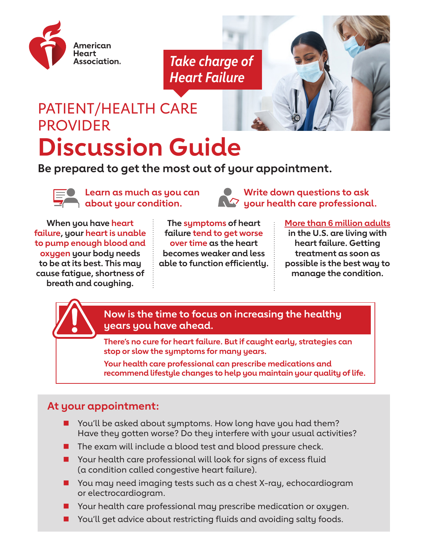

*Take charge of Heart Failure*

# PATIENT/HEALTH CARE PROVIDER **Discussion Guide**

**Be prepared to get the most out of your appointment.**



**Learn as much as you can about your condition.**



**When you have heart failure, your heart is unable to pump enough blood and oxygen your body needs to be at its best. This may cause fatigue, shortness of breath and coughing.** 

#### **The symptoms of heart [More than 6 million adults](https://www.nhlbi.nih.gov/health-topics/heart-failure)**

**in the U.S. are living with heart failure. Getting treatment as soon as possible is the best way to manage the condition.**



**Now is the time to focus on increasing the healthy years you have ahead.**

**failure tend to get worse over time as the heart becomes weaker and less able to function efficiently.** 

**There's no cure for heart failure. But if caught early, strategies can stop or slow the symptoms for many years.**

**Your health care professional can prescribe medications and recommend lifestyle changes to help you maintain your quality of life.**

### **At your appointment:**

- You'll be asked about symptoms. How long have you had them? Have they gotten worse? Do they interfere with your usual activities?
- $\blacksquare$  The exam will include a blood test and blood pressure check.
- Your health care professional will look for signs of excess fluid (a condition called congestive heart failure).
- You may need imaging tests such as a chest X-ray, echocardiogram or electrocardiogram.
- Your health care professional may prescribe medication or oxygen.
- You'll get advice about restricting fluids and avoiding salty foods.